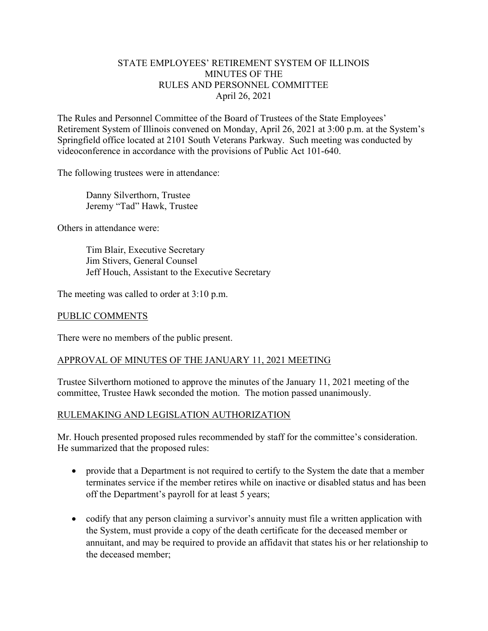## STATE EMPLOYEES' RETIREMENT SYSTEM OF ILLINOIS MINUTES OF THE RULES AND PERSONNEL COMMITTEE April 26, 2021

The Rules and Personnel Committee of the Board of Trustees of the State Employees' Retirement System of Illinois convened on Monday, April 26, 2021 at 3:00 p.m. at the System's Springfield office located at 2101 South Veterans Parkway. Such meeting was conducted by videoconference in accordance with the provisions of Public Act 101-640.

The following trustees were in attendance:

 Danny Silverthorn, Trustee Jeremy "Tad" Hawk, Trustee

Others in attendance were:

 Tim Blair, Executive Secretary Jim Stivers, General Counsel Jeff Houch, Assistant to the Executive Secretary

The meeting was called to order at 3:10 p.m.

#### PUBLIC COMMENTS

There were no members of the public present.

## APPROVAL OF MINUTES OF THE JANUARY 11, 2021 MEETING

Trustee Silverthorn motioned to approve the minutes of the January 11, 2021 meeting of the committee, Trustee Hawk seconded the motion. The motion passed unanimously.

## RULEMAKING AND LEGISLATION AUTHORIZATION

Mr. Houch presented proposed rules recommended by staff for the committee's consideration. He summarized that the proposed rules:

- provide that a Department is not required to certify to the System the date that a member terminates service if the member retires while on inactive or disabled status and has been off the Department's payroll for at least 5 years;
- codify that any person claiming a survivor's annuity must file a written application with the System, must provide a copy of the death certificate for the deceased member or annuitant, and may be required to provide an affidavit that states his or her relationship to the deceased member;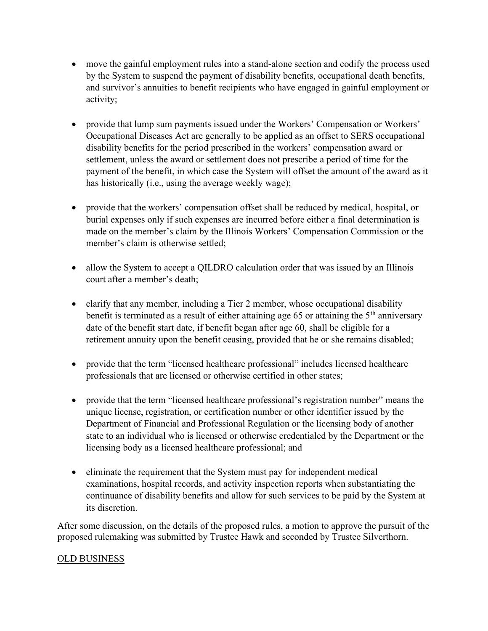- move the gainful employment rules into a stand-alone section and codify the process used by the System to suspend the payment of disability benefits, occupational death benefits, and survivor's annuities to benefit recipients who have engaged in gainful employment or activity;
- provide that lump sum payments issued under the Workers' Compensation or Workers' Occupational Diseases Act are generally to be applied as an offset to SERS occupational disability benefits for the period prescribed in the workers' compensation award or settlement, unless the award or settlement does not prescribe a period of time for the payment of the benefit, in which case the System will offset the amount of the award as it has historically (i.e., using the average weekly wage);
- provide that the workers' compensation offset shall be reduced by medical, hospital, or burial expenses only if such expenses are incurred before either a final determination is made on the member's claim by the Illinois Workers' Compensation Commission or the member's claim is otherwise settled;
- allow the System to accept a QILDRO calculation order that was issued by an Illinois court after a member's death;
- clarify that any member, including a Tier 2 member, whose occupational disability benefit is terminated as a result of either attaining age 65 or attaining the  $5<sup>th</sup>$  anniversary date of the benefit start date, if benefit began after age 60, shall be eligible for a retirement annuity upon the benefit ceasing, provided that he or she remains disabled;
- provide that the term "licensed healthcare professional" includes licensed healthcare professionals that are licensed or otherwise certified in other states;
- provide that the term "licensed healthcare professional's registration number" means the unique license, registration, or certification number or other identifier issued by the Department of Financial and Professional Regulation or the licensing body of another state to an individual who is licensed or otherwise credentialed by the Department or the licensing body as a licensed healthcare professional; and
- eliminate the requirement that the System must pay for independent medical examinations, hospital records, and activity inspection reports when substantiating the continuance of disability benefits and allow for such services to be paid by the System at its discretion.

After some discussion, on the details of the proposed rules, a motion to approve the pursuit of the proposed rulemaking was submitted by Trustee Hawk and seconded by Trustee Silverthorn.

# OLD BUSINESS